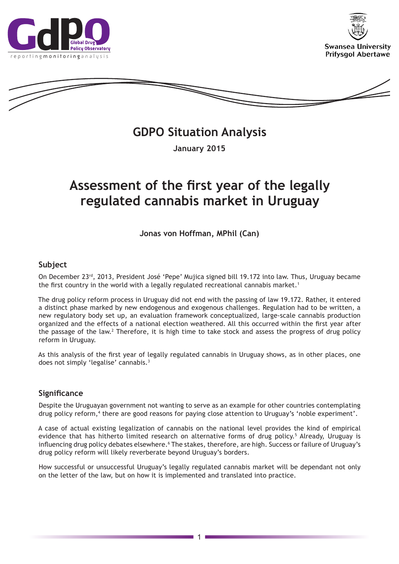





**GDPO Situation Analysis** 

**January 2015**

# **Assessment of the first year of the legally regulated cannabis market in Uruguay**

**Jonas von Hoffman, MPhil (Can)** 

# **Subject**

On December 23rd, 2013, President José 'Pepe' Mujica signed bill 19.172 into law. Thus, Uruguay became the first country in the world with a legally regulated recreational cannabis market.<sup>1</sup>

The drug policy reform process in Uruguay did not end with the passing of law 19.172. Rather, it entered a distinct phase marked by new endogenous and exogenous challenges. Regulation had to be written, a new regulatory body set up, an evaluation framework conceptualized, large-scale cannabis production organized and the effects of a national election weathered. All this occurred within the first year after the passage of the law.<sup>2</sup> Therefore, it is high time to take stock and assess the progress of drug policy reform in Uruguay.

As this analysis of the first year of legally regulated cannabis in Uruguay shows, as in other places, one does not simply 'legalise' cannabis.3

# **Significance**

Despite the Uruguayan government not wanting to serve as an example for other countries contemplating drug policy reform,<sup>4</sup> there are good reasons for paying close attention to Uruguay's 'noble experiment'.

A case of actual existing legalization of cannabis on the national level provides the kind of empirical evidence that has hitherto limited research on alternative forms of drug policy.<sup>5</sup> Already, Uruguay is influencing drug policy debates elsewhere.' The stakes, therefore, are high. Success or failure of Uruguay's drug policy reform will likely reverberate beyond Uruguay's borders.

How successful or unsuccessful Uruguay's legally regulated cannabis market will be dependant not only on the letter of the law, but on how it is implemented and translated into practice.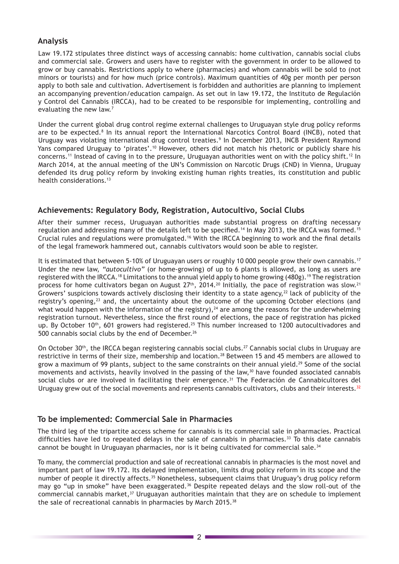# **Analysis**

Law 19.172 stipulates three distinct ways of accessing cannabis: home cultivation, cannabis social clubs and commercial sale. Growers and users have to register with the government in order to be allowed to grow or buy cannabis. Restrictions apply to where (pharmacies) and whom cannabis will be sold to (not minors or tourists) and for how much (price controls). Maximum quantities of 40g per month per person apply to both sale and cultivation. Advertisement is forbidden and authorities are planning to implement an accompanying prevention/education campaign. As set out in law 19.172, the Instituto de Regulación y Control del Cannabis (IRCCA), had to be created to be responsible for implementing, controlling and evaluating the new law.<sup>7</sup>

Under the current global drug control regime external challenges to Uruguayan style drug policy reforms are to be expected.<sup>8</sup> In its annual report the International Narcotics Control Board (INCB), noted that Uruguay was violating international drug control treaties.9 In December 2013, INCB President Raymond Yans compared Uruguay to 'pirates'.<sup>10</sup> However, others did not match his rhetoric or publicly share his concerns.11 Instead of caving in to the pressure, Uruguayan authorities went on with the policy shift.<sup>12</sup> In March 2014, at the annual meeting of the UN's Commission on Narcotic Drugs (CND) in Vienna, Uruguay defended its drug policy reform by invoking existing human rights treaties, its constitution and public health considerations.<sup>13</sup>

# **Achievements: Regulatory Body, Registration, Autocultivo, Social Clubs**

After their summer recess, Uruguayan authorities made substantial progress on drafting necessary regulation and addressing many of the details left to be specified.<sup>14</sup> In May 2013, the IRCCA was formed.<sup>15</sup> Crucial rules and regulations were promulgated.16 With the IRCCA beginning to work and the final details of the legal framework hammered out, cannabis cultivators would soon be able to register.

It is estimated that between 5-10% of Uruguayan users or roughly 10 000 people grow their own cannabis.<sup>17</sup> Under the new law, *"autocultivo"* (or home-growing) of up to 6 plants is allowed, as long as users are registered with the IRCCA.18 Limitations to the annual yield apply to home growing (480g).19 The registration process for home cultivators began on August 27<sup>th</sup>, 2014.<sup>20</sup> Initially, the pace of registration was slow.<sup>21</sup> Growers' suspicions towards actively disclosing their identity to a state agency, $^{22}$  lack of publicity of the registry's opening,<sup>23</sup> and, the uncertainty about the outcome of the upcoming October elections (and what would happen with the information of the registry), $^{24}$  are among the reasons for the underwhelming registration turnout. Nevertheless, since the first round of elections, the pace of registration has picked up. By October 10<sup>th</sup>, 601 growers had registered.<sup>25</sup> This number increased to 1200 autocultivadores and 500 cannabis social clubs by the end of December.<sup>26</sup>

On October 30<sup>th</sup>, the IRCCA began registering cannabis social clubs.<sup>27</sup> Cannabis social clubs in Uruguay are restrictive in terms of their size, membership and location.<sup>28</sup> Between 15 and 45 members are allowed to grow a maximum of 99 plants, subject to the same constraints on their annual yield.<sup>29</sup> Some of the social movements and activists, heavily involved in the passing of the law, $30$  have founded associated cannabis social clubs or are involved in facilitating their emergence.<sup>31</sup> The Federación de Cannabicultores del Uruguay grew out of the social movements and represents cannabis cultivators, clubs and their interests.<sup>32</sup>

# **To be implemented: Commercial Sale in Pharmacies**

The third leg of the tripartite access scheme for cannabis is its commercial sale in pharmacies. Practical difficulties have led to repeated delays in the sale of cannabis in pharmacies.<sup>33</sup> To this date cannabis cannot be bought in Uruguayan pharmacies, nor is it being cultivated for commercial sale.<sup>34</sup>

To many, the commercial production and sale of recreational cannabis in pharmacies is the most novel and important part of law 19.172. Its delayed implementation, limits drug policy reform in its scope and the number of people it directly affects.<sup>35</sup> Nonetheless, subsequent claims that Uruguay's drug policy reform may go "up in smoke" have been exaggerated.<sup>36</sup> Despite repeated delays and the slow roll-out of the commercial cannabis market, $37$  Uruguayan authorities maintain that they are on schedule to implement the sale of recreational cannabis in pharmacies by March 2015.<sup>38</sup>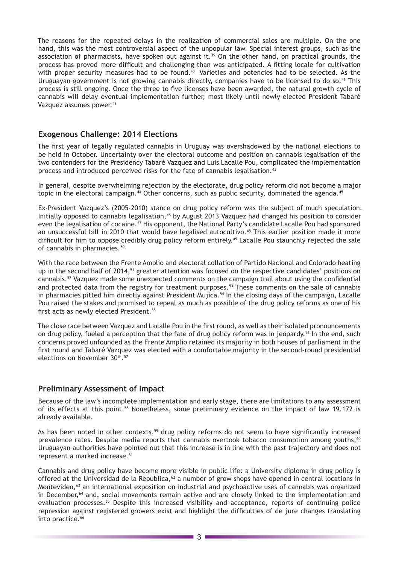The reasons for the repeated delays in the realization of commercial sales are multiple. On the one hand, this was the most controversial aspect of the unpopular law. Special interest groups, such as the association of pharmacists, have spoken out against it. $39$  On the other hand, on practical grounds, the process has proved more difficult and challenging than was anticipated. A fitting locale for cultivation with proper security measures had to be found. $40$  Varieties and potencies had to be selected. As the Uruguayan government is not growing cannabis directly, companies have to be licensed to do so.41 This process is still ongoing. Once the three to five licenses have been awarded, the natural growth cycle of cannabis will delay eventual implementation further, most likely until newly-elected President Tabaré Vazquez assumes power.<sup>42</sup>

# **Exogenous Challenge: 2014 Elections**

The first year of legally regulated cannabis in Uruguay was overshadowed by the national elections to be held in October. Uncertainty over the electoral outcome and position on cannabis legalisation of the two contenders for the Presidency Tabaré Vazquez and Luis Lacalle Pou, complicated the implementation process and introduced perceived risks for the fate of cannabis legalisation.<sup>43</sup>

In general, despite overwhelming rejection by the electorate, drug policy reform did not become a major topic in the electoral campaign.<sup>44</sup> Other concerns, such as public security, dominated the agenda.<sup>45</sup>

Ex-President Vazquez's (2005-2010) stance on drug policy reform was the subject of much speculation. Initially opposed to cannabis legalisation,<sup>46</sup> by August 2013 Vazquez had changed his position to consider even the legalisation of cocaine.<sup>47</sup> His opponent, the National Party's candidate Lacalle Pou had sponsored an unsuccessful bill in 2010 that would have legalised autocultivo.<sup>48</sup> This earlier position made it more difficult for him to oppose credibly drug policy reform entirely.<sup>49</sup> Lacalle Pou staunchly rejected the sale of cannabis in pharmacies.<sup>50</sup>

With the race between the Frente Amplio and electoral collation of Partido Nacional and Colorado heating up in the second half of 2014,<sup>51</sup> greater attention was focused on the respective candidates' positions on cannabis.52 Vazquez made some unexpected comments on the campaign trail about using the confidential and protected data from the registry for treatment purposes.<sup>53</sup> These comments on the sale of cannabis in pharmacies pitted him directly against President Mujica.<sup>54</sup> In the closing days of the campaign, Lacalle Pou raised the stakes and promised to repeal as much as possible of the drug policy reforms as one of his first acts as newly elected President.<sup>55</sup>

The close race between Vazquez and Lacalle Pou in the first round, as well as their isolated pronouncements on drug policy, fueled a perception that the fate of drug policy reform was in jeopardy.<sup>56</sup> In the end, such concerns proved unfounded as the Frente Amplio retained its majority in both houses of parliament in the first round and Tabaré Vazquez was elected with a comfortable majority in the second-round presidential elections on November 30th.<sup>57</sup>

### **Preliminary Assessment of Impact**

Because of the law's incomplete implementation and early stage, there are limitations to any assessment of its effects at this point.58 Nonetheless, some preliminary evidence on the impact of law 19.172 is already available.

As has been noted in other contexts,<sup>59</sup> drug policy reforms do not seem to have significantly increased prevalence rates. Despite media reports that cannabis overtook tobacco consumption among youths, $60$ Uruguayan authorities have pointed out that this increase is in line with the past trajectory and does not represent a marked increase.<sup>61</sup>

Cannabis and drug policy have become more visible in public life: a University diploma in drug policy is offered at the Universidad de la Republica,<sup>62</sup> a number of grow shops have opened in central locations in Montevideo,<sup>63</sup> an international exposition on industrial and psychoactive uses of cannabis was organized in December,<sup>64</sup> and, social movements remain active and are closely linked to the implementation and evaluation processes.<sup>65</sup> Despite this increased visibility and acceptance, reports of continuing police repression against registered growers exist and highlight the difficulties of de jure changes translating into practice.<sup>66</sup>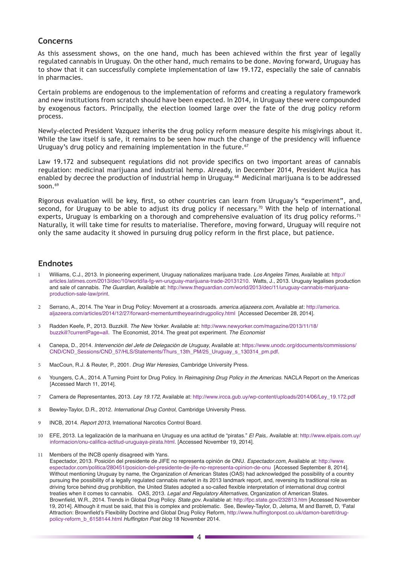### **Concerns**

As this assessment shows, on the one hand, much has been achieved within the first year of legally regulated cannabis in Uruguay. On the other hand, much remains to be done. Moving forward, Uruguay has to show that it can successfully complete implementation of law 19.172, especially the sale of cannabis in pharmacies.

Certain problems are endogenous to the implementation of reforms and creating a regulatory framework and new institutions from scratch should have been expected. In 2014, in Uruguay these were compounded by exogenous factors. Principally, the election loomed large over the fate of the drug policy reform process.

Newly-elected President Vazquez inherits the drug policy reform measure despite his misgivings about it. While the law itself is safe, it remains to be seen how much the change of the presidency will influence Uruguay's drug policy and remaining implementation in the future.<sup>67</sup>

Law 19.172 and subsequent regulations did not provide specifics on two important areas of cannabis regulation: medicinal marijuana and industrial hemp. Already, in December 2014, President Mujica has enabled by decree the production of industrial hemp in Uruguay.<sup>68</sup> Medicinal marijuana is to be addressed soon. $69$ 

Rigorous evaluation will be key, first, so other countries can learn from Uruguay's "experiment", and, second, for Uruguay to be able to adjust its drug policy if necessary.<sup>70</sup> With the help of international experts, Uruguay is embarking on a thorough and comprehensive evaluation of its drug policy reforms.<sup>71</sup> Naturally, it will take time for results to materialise. Therefore, moving forward, Uruguay will require not only the same audacity it showed in pursuing drug policy reform in the first place, but patience.

### **Endnotes**

- 1 Williams, C.J., 2013. In pioneering experiment, Uruguay nationalizes marijuana trade. *Los Angeles Times*, Available at: [http://](http://articles.latimes.com/2013/dec/10/world/la-fg-wn-uruguay-marijuana-trade-20131210) [articles.latimes.com/2013/dec/10/world/la-fg-wn-uruguay-marijuana-trade-20131210.](http://articles.latimes.com/2013/dec/10/world/la-fg-wn-uruguay-marijuana-trade-20131210) Watts, J., 2013. Uruguay legalises production and sale of cannabis. *The Guardian*, Available at: [http://www.theguardian.com/world/2013/dec/11/uruguay-cannabis-marijuana](http://www.theguardian.com/world/2013/dec/11/uruguay-cannabis-marijuana-production-sale-law/print)[production-sale-law/print](http://www.theguardian.com/world/2013/dec/11/uruguay-cannabis-marijuana-production-sale-law/print).
- 2 Serrano, A., 2014. The Year in Drug Policy: Movement at a crossroads. *america.aljazeera.com*, Available at: [http://america.](http://america.aljazeera.com/articles/2014/12/27/forward-mementumtheyearindrugpolicy.html) [aljazeera.com/articles/2014/12/27/forward-mementumtheyearindrugpolicy.html](http://america.aljazeera.com/articles/2014/12/27/forward-mementumtheyearindrugpolicy.html) [Accessed December 28, 2014].
- 3 Radden Keefe, P., 2013. Buzzkill. *The New Yorker*. Available at: [http://www.newyorker.com/magazine/2013/11/18/](http://www.newyorker.com/magazine/2013/11/18/buzzkill?currentPage=all) [buzzkill?currentPage=all](http://www.newyorker.com/magazine/2013/11/18/buzzkill?currentPage=all). The Economist, 2014. The great pot experiment. *The Economist*
- 4 Canepa, D., 2014. *Intervenciòn del Jefe de Delegación de Uruguay*, Available at: [https://www.unodc.org/documents/commissions/](https://www.unodc.org/documents/commissions/CND/CND_Sessions/CND_57/HLS/Statements/Thurs_13th_PM/25_Uruguay_s_130314_pm.pdf) [CND/CND\\_Sessions/CND\\_57/HLS/Statements/Thurs\\_13th\\_PM/25\\_Uruguay\\_s\\_130314\\_pm.pdf.](https://www.unodc.org/documents/commissions/CND/CND_Sessions/CND_57/HLS/Statements/Thurs_13th_PM/25_Uruguay_s_130314_pm.pdf)
- 5 MacCoun, R.J. & Reuter, P., 2001. *Drug War Heresies*, Cambridge University Press.
- 6 Youngers, C.A., 2014. A Turning Point for Drug Policy. In *Reimagining Drug Policy in the Americas*. NACLA Report on the Americas [Accessed March 11, 2014].
- 7 Camera de Representantes, 2013. *Ley 19.172*, Available at: [http://www.ircca.gub.uy/wp-content/uploads/2014/06/Ley\\_19.172.pdf](http://www.ircca.gub.uy/wp-content/uploads/2014/06/Ley_19.172.pdf)
- 8 Bewley-Taylor, D.R., 2012. *International Drug Control*, Cambridge University Press.
- 9 INCB, 2014. *Report 2013*, International Narcotics Control Board.
- 10 EFE, 2013. La legalización de la marihuana en Uruguay es una actitud de "piratas." *El Pais*,. Available at: [http://www.elpais.com.uy/](http://www.elpais.com.uy/informacion/onu-califica-actitud-uruguaya-pirata.html) [informacion/onu-califica-actitud-uruguaya-pirata.html](http://www.elpais.com.uy/informacion/onu-califica-actitud-uruguaya-pirata.html). [Accessed November 19, 2014].
- 11 Members of the INCB openly disagreed with Yans.

Espectador, 2013. Posición del presidente de JIFE no representa opinión de ONU. *Espectador.com*, Available at: [http://www.](http://www.espectador.com/politica/280451/posicion-del-presidente-de-jife-no-representa-opinion-de-onu) [espectador.com/politica/280451/posicion-del-presidente-de-jife-no-representa-opinion-de-onu](http://www.espectador.com/politica/280451/posicion-del-presidente-de-jife-no-representa-opinion-de-onu) [Accessed September 8, 2014]. Without mentioning Uruguay by name, the Organization of American States (OAS) had acknowledged the possibility of a country pursuing the possibility of a legally regulated cannabis market in its 2013 landmark report, and, reversing its traditional role as driving force behind drug prohibition, the United States adopted a so-called flexible interpretation of international drug control treaties when it comes to cannabis. OAS, 2013. *Legal and Regulatory Alternatives*, Organization of American States. Brownfield, W.R., 2014. Trends in Global Drug Policy. *State.gov*. Available at: <http://fpc.state.gov/232813.htm>[Accessed November 19, 2014]. Although it must be said, that this is complex and problematic. See, Bewley-Taylor, D, Jelsma, M and Barrett, D, 'Fatal Attraction: Brownfield's Flexibility Doctrine and Global Drug Policy Reform, [http://www.huffingtonpost.co.uk/damon-barett/drug](http://www.huffingtonpost.co.uk/damon-barett/drug-policy-reform_b_6158144.html)[policy-reform\\_b\\_6158144.html](http://www.huffingtonpost.co.uk/damon-barett/drug-policy-reform_b_6158144.html) Huffington Post blog 18 November 2014.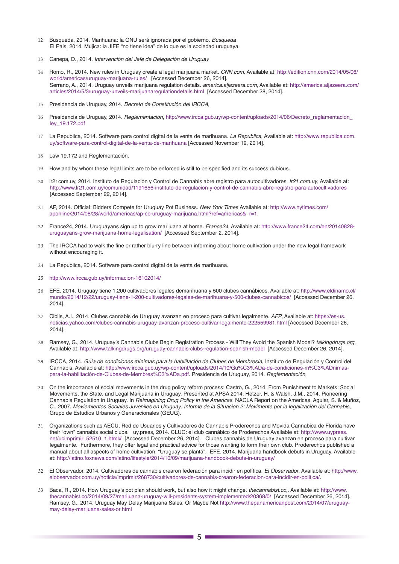- 12 Busqueda, 2014. Marihuana: la ONU será ignorada por el gobierno. *Busqueda* El Pais, 2014. Mujica: la JIFE "no tiene idea" de lo que es la sociedad uruguaya.
- 13 Canepa, D., 2014. *Intervenciòn del Jefe de Delegación de Uruguay*
- 14 Romo, R., 2014. New rules in Uruguay create a legal marijuana market. *CNN.com*. Available at: [http://edition.cnn.com/2014/05/06/](http://edition.cnn.com/2014/05/06/world/americas/uruguay-marijuana-rules/) [world/americas/uruguay-marijuana-rules/](http://edition.cnn.com/2014/05/06/world/americas/uruguay-marijuana-rules/) [Accessed December 26, 2014]. Serrano, A., 2014. Uruguay unveils marijuana regulation details. *america.aljazeera.com*, Available at: [http://america.aljazeera.com/](http://america.aljazeera.com/articles/2014/5/3/uruguay-unveils-marijuanaregulationdetails.html) [articles/2014/5/3/uruguay-unveils-marijuanaregulationdetails.html](http://america.aljazeera.com/articles/2014/5/3/uruguay-unveils-marijuanaregulationdetails.html) [Accessed December 28, 2014].
- 15 Presidencia de Uruguay, 2014. *Decreto de Constitución del IRCCA*,
- 16 Presidencia de Uruguay, 2014. *Reglementación*, [http://www.ircca.gub.uy/wp-content/uploads/2014/06/Decreto\\_reglamentacion\\_](http://www.ircca.gub.uy/wp-content/uploads/2014/06/Decreto_reglamentacion_ley_19.172.pdf) [ley\\_19.172.pdf](http://www.ircca.gub.uy/wp-content/uploads/2014/06/Decreto_reglamentacion_ley_19.172.pdf)
- 17 La Republica, 2014. Software para control digital de la venta de marihuana. La Republica, Available at: [http://www.republica.com.](http://www.republica.com.uy/software-para-control-digital-de-la-venta-de-marihuana) [uy/software-para-control-digital-de-la-venta-de-marihuana](http://www.republica.com.uy/software-para-control-digital-de-la-venta-de-marihuana) [Accessed November 19, 2014].
- 18 Law 19.172 and Reglementación.
- 19 How and by whom these legal limits are to be enforced is still to be specified and its success dubious.
- 20 lr21com.uy, 2014. Instituto de Regulación y Control de Cannabis abre registro para autocultivadores. *lr21.com.uy*, Available at: <http://www.lr21.com.uy/comunidad/1191656-instituto-de-regulacion-y-control-de-cannabis-abre-registro-para-autocultivadores> [Accessed September 22, 2014].
- 21 AP, 2014. Official: Bidders Compete for Uruguay Pot Business. *New York Times* Available at: [http://www.nytimes.com/](http://www.nytimes.com/aponline/2014/08/28/world/americas/ap-cb-uruguay-marijuana.html?ref=americas&_r=1) [aponline/2014/08/28/world/americas/ap-cb-uruguay-marijuana.html?ref=americas&\\_r=1.](http://www.nytimes.com/aponline/2014/08/28/world/americas/ap-cb-uruguay-marijuana.html?ref=americas&_r=1)
- 22 France24, 2014. Uruguayans sign up to grow marijuana at home. *France24*, Available at: [http://www.france24.com/en/20140828](http://www.france24.com/en/20140828-uruguayans-grow-marijuana-home-legalisation/) [uruguayans-grow-marijuana-home-legalisation/](http://www.france24.com/en/20140828-uruguayans-grow-marijuana-home-legalisation/) [Accessed September 2, 2014].
- 23 The IRCCA had to walk the fine or rather blurry line between informing about home cultivation under the new legal framework without encouraging it.
- 24 La Republica, 2014. Software para control digital de la venta de marihuana.
- 25 <http://www.ircca.gub.uy/informacion-16102014/>
- 26 EFE, 2014. Uruguay tiene 1.200 cultivadores legales demarihuana y 500 clubes cannábicos. Available at: [http://www.eldinamo.cl/](http://www.eldinamo.cl/mundo/2014/12/22/uruguay-tiene-1-200-cultivadores-legales-de-marihuana-y-500-clubes-cannabicos/) [mundo/2014/12/22/uruguay-tiene-1-200-cultivadores-legales-de-marihuana-y-500-clubes-cannabicos/](http://www.eldinamo.cl/mundo/2014/12/22/uruguay-tiene-1-200-cultivadores-legales-de-marihuana-y-500-clubes-cannabicos/) [Accessed December 26, 2014].
- 27 Cibils, A.I., 2014. Clubes cannabis de Uruguay avanzan en proceso para cultivar legalmente. *AFP*, Available at: [https://es-us.](https://es-us.noticias.yahoo.com/clubes-cannabis-uruguay-avanzan-proceso-cultivar-legalmente-222559981.html) [noticias.yahoo.com/clubes-cannabis-uruguay-avanzan-proceso-cultivar-legalmente-222559981.html](https://es-us.noticias.yahoo.com/clubes-cannabis-uruguay-avanzan-proceso-cultivar-legalmente-222559981.html) [Accessed December 26, 2014].
- 28 Ramsey, G., 2014. Uruguay's Cannabis Clubs Begin Registration Process Will They Avoid the Spanish Model? *talkingdrugs.org*. Available at:<http://www.talkingdrugs.org/uruguay-cannabis-clubs-regulation-spanish-model> [Accessed December 26, 2014].
- 29 IRCCA, 2014. Guía de condiciones mínimas para la habilitación de Clubes de Membresía, Instituto de Regulación y Control del Cannabis. Available at: [http://www.ircca.gub.uy/wp-content/uploads/2014/10/Gu%C3%ADa-de-condiciones-m%C3%ADnimas](http://www.ircca.gub.uy/wp-content/uploads/2014/10/Gu%C3%ADa-de-condiciones-m%C3%ADnimas-para-la-habilitación-de-Clubes-de-Membres%C3%ADa.pdf)[para-la-habilitación-de-Clubes-de-Membres%C3%ADa.pdf](http://www.ircca.gub.uy/wp-content/uploads/2014/10/Gu%C3%ADa-de-condiciones-m%C3%ADnimas-para-la-habilitación-de-Clubes-de-Membres%C3%ADa.pdf). Presidencia de Uruguay, 2014. *Reglementación*,
- 30 On the importance of social movements in the drug policy reform process: Castro, G., 2014. From Punishment to Markets: Social Movements, the State, and Legal Marijuana in Uruguay. Presented at APSA 2014. Hetzer, H. & Walsh, J.M., 2014. Pioneering Cannabis Regulation in Uruguay. In *Reimagining Drug Policy in the Americas*. NACLA Report on the Americas. Aguiar, S. & Muñoz, C., 2007. Moviemientos Sociales Juveniles en Uruguay: Informe de la Situacion 2: Movimente por la legalización del Cannabis, Grupo de Estudios Urbanos y Generacionales (GEUG).
- 31 Organizations such as AECU, Red de Usuarios y Cultivadores de Cannabis Proderechos and Movida Cannabica de Florida have their "own" cannabis social clubs. uy.press, 2014. CLUC: el club cannábico de Proderechos Available at: [http://www.uypress.](http://www.uypress.net/ucimprimir_52510_1.html) [net/ucimprimir\\_52510\\_1.html#](http://www.uypress.net/ucimprimir_52510_1.html) [Accessed December 26, 2014]. Clubes cannabis de Uruguay avanzan en proceso para cultivar legalmente. Furthermore, they offer legal and practical advice for those wanting to form their own club. Proderechos published a manual about all aspects of home cultivation: "Uruguay se planta". EFE, 2014. Marijuana handbook debuts in Uruguay. Available at: <http://latino.foxnews.com/latino/lifestyle/2014/10/09/marijuana-handbook-debuts-in-uruguay/>
- 32 El Observador, 2014. Cultivadores de cannabis crearon federación para incidir en política. El Observador, Available at: [http://www.](http://www.elobservador.com.uy/noticia/imprimir/268730/cultivadores-de-cannabis-crearon-federacion-para-incidir-en-politica/) [elobservador.com.uy/noticia/imprimir/268730/cultivadores-de-cannabis-crearon-federacion-para-incidir-en-politica/](http://www.elobservador.com.uy/noticia/imprimir/268730/cultivadores-de-cannabis-crearon-federacion-para-incidir-en-politica/).
- 33 Baca, R., 2014. How Uruguay's pot plan should work, but also how it might change. thecannabist.co,. Available at: [http://www.](http://www.thecannabist.co/2014/09/27/marijuana-uruguay-will-presidents-system-implemented/20368/0/) [thecannabist.co/2014/09/27/marijuana-uruguay-will-presidents-system-implemented/20368/0/](http://www.thecannabist.co/2014/09/27/marijuana-uruguay-will-presidents-system-implemented/20368/0/) [Accessed December 26, 2014]. Ramsey, G., 2014. Uruguay May Delay Marijuana Sales, Or Maybe Not [http://www.thepanamericanpost.com/2014/07/uruguay](http://www.thepanamericanpost.com/2014/07/uruguay-may-delay-marijuana-sales-or.html)[may-delay-marijuana-sales-or.html](http://www.thepanamericanpost.com/2014/07/uruguay-may-delay-marijuana-sales-or.html)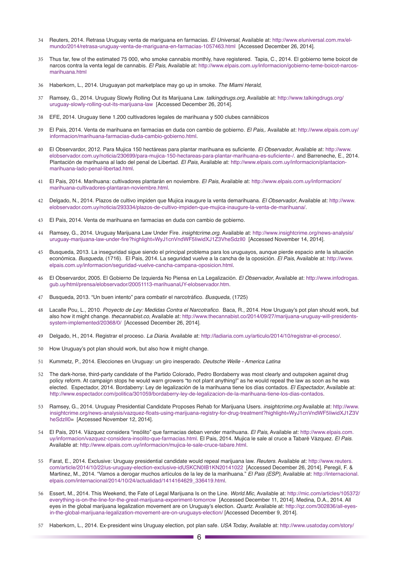- 34 Reuters, 2014. Retrasa Uruguay venta de mariguana en farmacias. *El Universal*, Available at: [http://www.eluniversal.com.mx/el](http://www.eluniversal.com.mx/el-mundo/2014/retrasa-uruguay-venta-de-mariguana-en-farmacias-1057463.html)[mundo/2014/retrasa-uruguay-venta-de-mariguana-en-farmacias-1057463.html](http://www.eluniversal.com.mx/el-mundo/2014/retrasa-uruguay-venta-de-mariguana-en-farmacias-1057463.html) [Accessed December 26, 2014].
- 35 Thus far, few of the estimated 75 000, who smoke cannabis monthly, have registered. Tapia, C., 2014. El gobierno teme boicot de narcos contra la venta legal de cannabis. *El Pais*, Available at: [http://www.elpais.com.uy/informacion/gobierno-teme-boicot-narcos](http://www.elpais.com.uy/informacion/gobierno-teme-boicot-narcos-marihuana.html)marihuana html
- 36 Haberkorn, L., 2014. Uruguayan pot marketplace may go up in smoke. The Miami Herald,
- 37 Ramsey, G., 2014. Uruguay Slowly Rolling Out its Marijuana Law. *talkingdrugs.org*, Available at: [http://www.talkingdrugs.org/](http://www.talkingdrugs.org/uruguay-slowly-rolling-out-its-marijuana-law) [uruguay-slowly-rolling-out-its-marijuana-law](http://www.talkingdrugs.org/uruguay-slowly-rolling-out-its-marijuana-law) [Accessed December 26, 2014].
- 38 EFE, 2014. Uruguay tiene 1.200 cultivadores legales de marihuana y 500 clubes cannábicos
- 39 El Pais, 2014. Venta de marihuana en farmacias en duda con cambio de gobierno. *El Pais*,. Available at: [http://www.elpais.com.uy/](http://www.elpais.com.uy/informacion/marihuana-farmacias-duda-cambio-gobierno.html) [informacion/marihuana-farmacias-duda-cambio-gobierno.html](http://www.elpais.com.uy/informacion/marihuana-farmacias-duda-cambio-gobierno.html).
- 40 El Observardor, 2012. Para Mujica 150 hectáreas para plantar marihuana es suficiente. El Observador, Available at: [http://www.](http://www.elobservador.com.uy/noticia/230699/para-mujica-150-hectareas-para-plantar-marihuana-es-suficiente-/) [elobservador.com.uy/noticia/230699/para-mujica-150-hectareas-para-plantar-marihuana-es-suficiente-/](http://www.elobservador.com.uy/noticia/230699/para-mujica-150-hectareas-para-plantar-marihuana-es-suficiente-/). and Barreneche, E., 2014. Plantación de marihuana al lado del penal de Libertad. *El Pais*, Available at: [http://www.elpais.com.uy/informacion/plantacion](http://www.elpais.com.uy/informacion/plantacion-marihuana-lado-penal-libertad.html)[marihuana-lado-penal-libertad.html](http://www.elpais.com.uy/informacion/plantacion-marihuana-lado-penal-libertad.html).
- 41 El Pais, 2014. Marihuana: cultivadores plantarán en noviembre. *El Pais*, Available at: [http://www.elpais.com.uy/informacion/](http://www.elpais.com.uy/informacion/marihuana-cultivadores-plantaran-noviembre.html) [marihuana-cultivadores-plantaran-noviembre.html.](http://www.elpais.com.uy/informacion/marihuana-cultivadores-plantaran-noviembre.html)
- 42 Delgado, N., 2014. Plazos de cultivo impiden que Mujica inaugure la venta demarihuana. El Observador, Available at: [http://www.](http://www.elobservador.com.uy/noticia/293334/plazos-de-cultivo-impiden-que-mujica-inaugure-la-venta-de-marihuana/) [elobservador.com.uy/noticia/293334/plazos-de-cultivo-impiden-que-mujica-inaugure-la-venta-de-marihuana/.](http://www.elobservador.com.uy/noticia/293334/plazos-de-cultivo-impiden-que-mujica-inaugure-la-venta-de-marihuana/)
- 43 El Pais, 2014. Venta de marihuana en farmacias en duda con cambio de gobierno.
- 44 Ramsey, G., 2014. Uruguay Marijuana Law Under Fire. *insightcrime.org*. Available at: [http://www.insightcrime.org/news-analysis/](http://www.insightcrime.org/news-analysis/uruguay-marijuana-law-under-fire?highlight=WyJ1cnVndWF5IiwidXJ1Z3VheSdzIl0) [uruguay-marijuana-law-under-fire?highlight=WyJ1cnVndWF5IiwidXJ1Z3VheSdzIl0](http://www.insightcrime.org/news-analysis/uruguay-marijuana-law-under-fire?highlight=WyJ1cnVndWF5IiwidXJ1Z3VheSdzIl0) [Accessed November 14, 2014].
- 45 Busqueda, 2013. La inseguridad sigue siendo el principal problema para los uruguayos, aunque pierde espacio ante la situación económica. *Busqueda*, (1716). El Pais, 2014. La seguridad vuelve a la cancha de la oposición. *El Pais*, Available at: [http://www.](http://www.elpais.com.uy/informacion/seguridad-vuelve-cancha-campana-oposicion.html) [elpais.com.uy/informacion/seguridad-vuelve-cancha-campana-oposicion.html](http://www.elpais.com.uy/informacion/seguridad-vuelve-cancha-campana-oposicion.html).
- 46 El Observardor, 2005. El Gobierno De Izquierda No Piensa en La Legalización. El Observador, Available at: [http://www.infodrogas.](http://www.infodrogas.gub.uy/html/prensa/elobservador/20051113-marihuanaUY-elobservador.htm) [gub.uy/html/prensa/elobservador/20051113-marihuanaUY-elobservador.htm.](http://www.infodrogas.gub.uy/html/prensa/elobservador/20051113-marihuanaUY-elobservador.htm)
- 47 Busqueda, 2013. "Un buen intento" para combatir el narcotráfico. *Busqueda*, (1725)
- 48 Lacalle Pou, L., 2010. Proyecto de Ley: Medidas Contra el Narcotrafico. Baca, R., 2014. How Uruguay's pot plan should work, but also how it might change. thecannabist.co, Available at: [http://www.thecannabist.co/2014/09/27/marijuana-uruguay-will-presidents](http://www.thecannabist.co/2014/09/27/marijuana-uruguay-will-presidents-system-implemented/20368/0/)[system-implemented/20368/0/](http://www.thecannabist.co/2014/09/27/marijuana-uruguay-will-presidents-system-implemented/20368/0/) [Accessed December 26, 2014].
- 49 Delgado, H., 2014. Registrar el proceso. *La Diaria*. Available at:<http://ladiaria.com.uy/articulo/2014/10/registrar-el-proceso/>.
- 50 How Uruguay's pot plan should work, but also how it might change.
- 51 Kummetz, P., 2014. Elecciones en Uruguay: un giro inesperado. *Deutsche Welle America Latina*
- 52 The dark-horse, third-party candidate of the Partido Colorado, Pedro Bordaberry was most clearly and outspoken against drug policy reform. At campaign stops he would warn growers "to not plant anything!" as he would repeal the law as soon as he was elected. Espectador, 2014. Bordaberry: Ley de legalización de la marihuana tiene los días contados. *El Espectador*, Available at: <http://www.espectador.com/politica/301059/bordaberry-ley-de-legalizacion-de-la-marihuana-tiene-los-dias-contados>.
- 53 Ramsey, G., 2014. Uruguay Presidential Candidate Proposes Rehab for Marijuana Users. *insightcrime.org* Available at: [http://www.](http://www.insightcrime.org/news-analysis/vazquez-floats-using-marijuana-registry-for-drug-treatment?highlight=WyJ1cnVndWF5IiwidXJ1Z3VheSdzIl0) [insightcrime.org/news-analysis/vazquez-floats-using-marijuana-registry-for-drug-treatment?highlight=WyJ1cnVndWF5IiwidXJ1Z3V](http://www.insightcrime.org/news-analysis/vazquez-floats-using-marijuana-registry-for-drug-treatment?highlight=WyJ1cnVndWF5IiwidXJ1Z3VheSdzIl0) [heSdzIl0=](http://www.insightcrime.org/news-analysis/vazquez-floats-using-marijuana-registry-for-drug-treatment?highlight=WyJ1cnVndWF5IiwidXJ1Z3VheSdzIl0) [Accessed November 12, 2014].
- 54 El Pais, 2014. Vázquez considera "insólito" que farmacias deban vender marihuana. *El Pais*, Available at: [http://www.elpais.com.](http://www.elpais.com.uy/informacion/vazquez-considera-insolito-que-farmacias.html) [uy/informacion/vazquez-considera-insolito-que-farmacias.html.](http://www.elpais.com.uy/informacion/vazquez-considera-insolito-que-farmacias.html) El Pais, 2014. Mujica le sale al cruce a Tabaré Vázquez. *El Pais*. Available at: [http://www.elpais.com.uy/informacion/mujica-le-sale-cruce-tabare.html.](http://www.elpais.com.uy/informacion/mujica-le-sale-cruce-tabare.html)
- 55 Farat, E., 2014. Exclusive: Uruguay presidential candidate would repeal marijuana law. *Reuters*. Available at: [http://www.reuters.](http://www.reuters.com/article/2014/10/22/us-uruguay-election-exclusive-idUSKCN0IB1KN20141022) [com/article/2014/10/22/us-uruguay-election-exclusive-idUSKCN0IB1KN20141022](http://www.reuters.com/article/2014/10/22/us-uruguay-election-exclusive-idUSKCN0IB1KN20141022) [Accessed December 26, 2014]. Peregil, F. & Martinez, M., 2014. "Vamos a derogar muchos artículos de la ley de la marihuana." *El Pais (ESP)*, Available at: [http://internacional.](http://internacional.elpais.com/internacional/2014/10/24/actualidad/1414164629_336419.html) [elpais.com/internacional/2014/10/24/actualidad/1414164629\\_336419.html.](http://internacional.elpais.com/internacional/2014/10/24/actualidad/1414164629_336419.html)
- 56 Essert, M., 2014. This Weekend, the Fate of Legal Marijuana Is on the Line. World.Mic, Available at: [http://mic.com/articles/105372/](http://mic.com/articles/105372/everything-is-on-the-line-for-the-great-marijuana-experiment-tomorrow) [everything-is-on-the-line-for-the-great-marijuana-experiment-tomorrow](http://mic.com/articles/105372/everything-is-on-the-line-for-the-great-marijuana-experiment-tomorrow) [Accessed December 11, 2014]. Medina, D.A., 2014. All eyes in the global marijuana legalization movement are on Uruguay's election. *Quartz*. Available at: [http://qz.com/302836/all-eyes](http://qz.com/302836/all-eyes-in-the-global-marijuana-legalization-movement-are-on-uruguays-election/)[in-the-global-marijuana-legalization-movement-are-on-uruguays-election/](http://qz.com/302836/all-eyes-in-the-global-marijuana-legalization-movement-are-on-uruguays-election/) [Accessed December 9, 2014].
- 57 Haberkorn, L., 2014. Ex-president wins Uruguay election, pot plan safe. *USA Today*, Available at: [http://www.usatoday.com/story/](http://www.usatoday.com/story/news/world/2014/11/30/ex-president-wins-uruguay-election-pot-plan-safe/19718183/)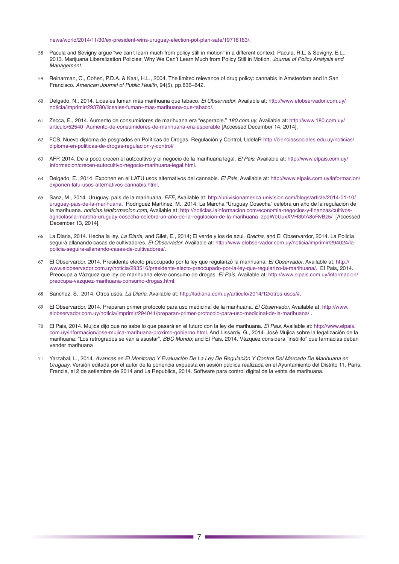#### [news/world/2014/11/30/ex-president-wins-uruguay-election-pot-plan-safe/19718183/.](http://www.usatoday.com/story/news/world/2014/11/30/ex-president-wins-uruguay-election-pot-plan-safe/19718183/)

- 58 Pacula and Sevigny argue "we can't learn much from policy still in motion" in a different context. Pacula, R.L. & Sevigny, E.L., 2013. Marijuana Liberalization Policies: Why We Can't Learn Much from Policy Still in Motion. *Journal of Policy Analysis and*  Management.
- 59 Reinarman, C., Cohen, P.D.A. & Kaal, H.L., 2004. The limited relevance of drug policy: cannabis in Amsterdam and in San Francisco. American Journal of Public Health, 94(5), pp.836–842.
- 60 Delgado, N., 2014. Liceales fuman más marihuana que tabaco. El Observador, Available at: [http://www.elobservador.com.uy/](http://www.elobservador.com.uy/noticia/imprimir/293780/liceales-fuman--mas-marihuana-que-tabaco/) [noticia/imprimir/293780/liceales-fuman--mas-marihuana-que-tabaco/](http://www.elobservador.com.uy/noticia/imprimir/293780/liceales-fuman--mas-marihuana-que-tabaco/).
- 61 Zecca, E., 2014. Aumento de consumidores de marihuana era "esperable." *180.com.uy*, Available at: [http://www.180.com.uy/](http://www.180.com.uy/articulo/52540_Aumento-de-consumidores-de-marihuana-era-esperable) [articulo/52540\\_Aumento-de-consumidores-de-marihuana-era-esperable](http://www.180.com.uy/articulo/52540_Aumento-de-consumidores-de-marihuana-era-esperable) [Accessed December 14, 2014].
- 62 FCS, Nuevo diploma de posgrados en Políticas de Drogas, Regulación y Control, UdelaR [http://cienciassociales.edu.uy/noticias/](http://cienciassociales.edu.uy/noticias/diploma-en-politicas-de-drogas-regulacion-y-control/) [diploma-en-politicas-de-drogas-regulacion-y-control/](http://cienciassociales.edu.uy/noticias/diploma-en-politicas-de-drogas-regulacion-y-control/)
- 63 AFP, 2014. De a poco crecen el autocultivo y el negocio de la marihuana legal. *El Pais*, Available at: [http://www.elpais.com.uy/](http://www.elpais.com.uy/informacion/crecen-autocultivo-negocio-marihuana-legal.html) [informacion/crecen-autocultivo-negocio-marihuana-legal.html.](http://www.elpais.com.uy/informacion/crecen-autocultivo-negocio-marihuana-legal.html)
- 64 Delgado, E., 2014. Exponen en el LATU usos alternativos del cannabis. *El Pais*, Available at: [http://www.elpais.com.uy/informacion/](http://www.elpais.com.uy/informacion/exponen-latu-usos-alternativos-cannabis.html) [exponen-latu-usos-alternativos-cannabis.html](http://www.elpais.com.uy/informacion/exponen-latu-usos-alternativos-cannabis.html).
- 65 Sanz, M., 2014. Uruguay, país de la marihuana. *EFE*, Available at: [http://univisionamerica.univision.com/blogs/article/2014-01-10/](http://univisionamerica.univision.com/blogs/article/2014-01-10/uruguay-pais-de-la-marihuana) [uruguay-pais-de-la-marihuana](http://univisionamerica.univision.com/blogs/article/2014-01-10/uruguay-pais-de-la-marihuana). Rodriguez Martinez, M., 2014. La Marcha "Uruguay Cosecha" celebra un año de la regulación de la marihuana. *noticias.lainformacion.com*, Available at: [http://noticias.lainformacion.com/economia-negocios-y-finanzas/cultivos](http://noticias.lainformacion.com/economia-negocios-y-finanzas/cultivos-agricolas/la-marcha-uruguay-cosecha-celebra-un-ano-de-la-regulacion-de-la-marihuana_zpqWbUuxXVH3btA8oRvBz5/)[agricolas/la-marcha-uruguay-cosecha-celebra-un-ano-de-la-regulacion-de-la-marihuana\\_zpqWbUuxXVH3btA8oRvBz5/](http://noticias.lainformacion.com/economia-negocios-y-finanzas/cultivos-agricolas/la-marcha-uruguay-cosecha-celebra-un-ano-de-la-regulacion-de-la-marihuana_zpqWbUuxXVH3btA8oRvBz5/) [Accessed December 13, 2014].
- 66 La Diaria, 2014. Hecha la ley. *La Diaria*, and Gilet, E., 2014; El verde y los de azul. *Brecha*, and El Observardor, 2014. La Policía seguirá allanando casas de cultivadores. El Observador, Available at: [http://www.elobservador.com.uy/noticia/imprimir/294024/la](http://www.elobservador.com.uy/noticia/imprimir/294024/la-policia-seguira-allanando-casas-de-cultivadores/)[policia-seguira-allanando-casas-de-cultivadores/.](http://www.elobservador.com.uy/noticia/imprimir/294024/la-policia-seguira-allanando-casas-de-cultivadores/)
- 67 El Observardor, 2014. Presidente electo preocupado por la ley que regularizó la marihuana. El Observador. Available at: [http://](http://www.elobservador.com.uy/noticia/293516/presidente-electo-preocupado-por-la-ley-que-regularizo-la-marihuana/) [www.elobservador.com.uy/noticia/293516/presidente-electo-preocupado-por-la-ley-que-regularizo-la-marihuana/](http://www.elobservador.com.uy/noticia/293516/presidente-electo-preocupado-por-la-ley-que-regularizo-la-marihuana/). El Pais, 2014. Preocupa a Vázquez que ley de marihuana eleve consumo de drogas. *El Pais*, Available at: [http://www.elpais.com.uy/informacion/](http://www.elpais.com.uy/informacion/preocupa-vazquez-marihuana-consumo-drogas.html) [preocupa-vazquez-marihuana-consumo-drogas.html](http://www.elpais.com.uy/informacion/preocupa-vazquez-marihuana-consumo-drogas.html).
- 68 Sanchez, S., 2014. Otros usos. *La Diaria*. Available at: [http://ladiaria.com.uy/articulo/2014/12/otros-usos/#.](http://ladiaria.com.uy/articulo/2014/12/otros-usos/)
- 69 El Observardor, 2014. Preparan primer protocolo para uso medicinal de la marihuana. El Observador, Available at: [http://www.](http://www.elobservador.com.uy/noticia/imprimir/294041/preparan-primer-protocolo-para-uso-medicinal-de-la-marihuana/) [elobservador.com.uy/noticia/imprimir/294041/preparan-primer-protocolo-para-uso-medicinal-de-la-marihuana/](http://www.elobservador.com.uy/noticia/imprimir/294041/preparan-primer-protocolo-para-uso-medicinal-de-la-marihuana/) .
- 70 El Pais, 2014. Mujica dijo que no sabe lo que pasará en el futuro con la ley de marihuana. *El Pais*, Available at: [http://www.elpais.](http://www.elpais.com.uy/informacion/jose-mujica-marihuana-proximo-gobierno.html) [com.uy/informacion/jose-mujica-marihuana-proximo-gobierno.html](http://www.elpais.com.uy/informacion/jose-mujica-marihuana-proximo-gobierno.html). And Lissardy, G., 2014. José Mujica sobre la legalización de la marihuana: "Los retrógrados se van a asustar". BBC Mundo; and El Pais, 2014. Vázquez considera "insólito" que farmacias deban vender marihuana
- 71 Yarzabal, L., 2014. Avances en El Monitoreo Y Evaluación De La Ley De Regulación Y Control Del Mercado De Marihuana en *Uruguay*, Versión editada por el autor de la ponencia expuesta en sesión pública realizada en el Ayuntamiento del Distrito 11, París, Francia, el 2 de setiembre de 2014 and La Republica, 2014. Software para control digital de la venta de marihuana.